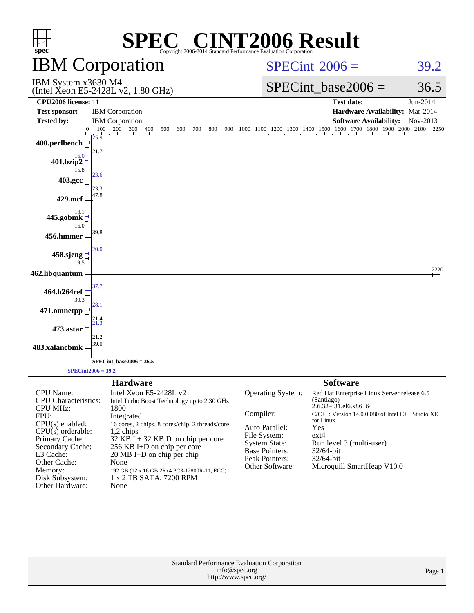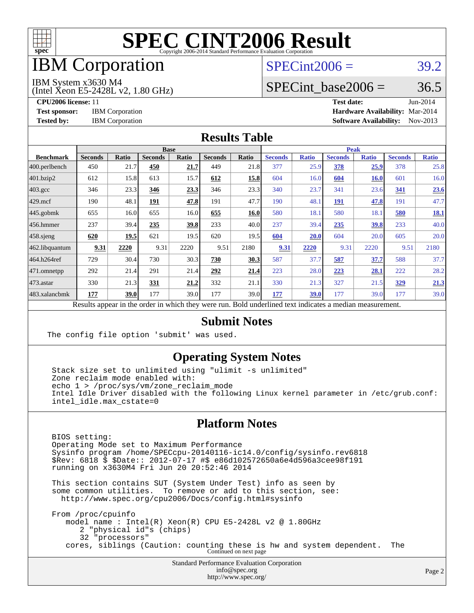

### IBM Corporation

### $SPECint2006 = 39.2$  $SPECint2006 = 39.2$

IBM System x3630 M4

(Intel Xeon E5-2428L v2, 1.80 GHz)

SPECint base2006 =  $36.5$ 

**[CPU2006 license:](http://www.spec.org/auto/cpu2006/Docs/result-fields.html#CPU2006license)** 11 **[Test date:](http://www.spec.org/auto/cpu2006/Docs/result-fields.html#Testdate)** Jun-2014 **[Test sponsor:](http://www.spec.org/auto/cpu2006/Docs/result-fields.html#Testsponsor)** IBM Corporation **[Hardware Availability:](http://www.spec.org/auto/cpu2006/Docs/result-fields.html#HardwareAvailability)** Mar-2014 **[Tested by:](http://www.spec.org/auto/cpu2006/Docs/result-fields.html#Testedby)** IBM Corporation **[Software Availability:](http://www.spec.org/auto/cpu2006/Docs/result-fields.html#SoftwareAvailability)** Nov-2013

#### **[Results Table](http://www.spec.org/auto/cpu2006/Docs/result-fields.html#ResultsTable)**

|                         | <b>Base</b>                                                                                              |       |                |       |                |       | <b>Peak</b>    |              |                |              |                |              |  |
|-------------------------|----------------------------------------------------------------------------------------------------------|-------|----------------|-------|----------------|-------|----------------|--------------|----------------|--------------|----------------|--------------|--|
| <b>Benchmark</b>        | <b>Seconds</b>                                                                                           | Ratio | <b>Seconds</b> | Ratio | <b>Seconds</b> | Ratio | <b>Seconds</b> | <b>Ratio</b> | <b>Seconds</b> | <b>Ratio</b> | <b>Seconds</b> | <b>Ratio</b> |  |
| $ 400.\text{perlbench}$ | 450                                                                                                      | 21.7  | 450            | 21.7  | 449            | 21.8  | 377            | 25.9         | 378            | 25.9         | 378            | 25.8         |  |
| 401.bzip2               | 612                                                                                                      | 15.8  | 613            | 15.7  | 612            | 15.8  | 604            | 16.0         | 604            | <b>16.0</b>  | 601            | 16.0         |  |
| $403.\text{gcc}$        | 346                                                                                                      | 23.3  | 346            | 23.3  | 346            | 23.3  | 340            | 23.7         | 341            | 23.6         | 341            | 23.6         |  |
| $429$ mcf               | 190                                                                                                      | 48.1  | 191            | 47.8  | 191            | 47.7  | 190            | 48.1         | <b>191</b>     | 47.8         | 191            | 47.7         |  |
| $445$ .gobmk            | 655                                                                                                      | 16.0  | 655            | 16.0  | 655            | 16.0  | 580            | 18.1         | 580            | 18.1         | 580            | 18.1         |  |
| $ 456$ .hmmer           | 237                                                                                                      | 39.4  | 235            | 39.8  | 233            | 40.0  | 237            | 39.4         | 235            | 39.8         | 233            | 40.0         |  |
| $458$ .sjeng            | 620                                                                                                      | 19.5  | 621            | 19.5  | 620            | 19.5  | 604            | 20.0         | 604            | 20.0         | 605            | 20.0         |  |
| 462.libquantum          | 9.31                                                                                                     | 2220  | 9.31           | 2220  | 9.51           | 2180  | 9.31           | 2220         | 9.31           | 2220         | 9.51           | 2180         |  |
| 464.h264ref             | 729                                                                                                      | 30.4  | 730            | 30.3  | 730            | 30.3  | 587            | 37.7         | 587            | 37.7         | 588            | 37.7         |  |
| 471.omnetpp             | 292                                                                                                      | 21.4  | 291            | 21.4  | 292            | 21.4  | 223            | 28.0         | 223            | 28.1         | 222            | 28.2         |  |
| $473$ . astar           | 330                                                                                                      | 21.3  | 331            | 21.2  | 332            | 21.1  | 330            | 21.3         | 327            | 21.5         | 329            | 21.3         |  |
| 483.xalancbmk           | 177                                                                                                      | 39.0  | 177            | 39.0  | 177            | 39.0  | 177            | <b>39.0</b>  | 177            | 39.0         | 177            | 39.0         |  |
|                         | Results appear in the order in which they were run. Bold underlined text indicates a median measurement. |       |                |       |                |       |                |              |                |              |                |              |  |

#### **[Submit Notes](http://www.spec.org/auto/cpu2006/Docs/result-fields.html#SubmitNotes)**

The config file option 'submit' was used.

#### **[Operating System Notes](http://www.spec.org/auto/cpu2006/Docs/result-fields.html#OperatingSystemNotes)**

 Stack size set to unlimited using "ulimit -s unlimited" Zone reclaim mode enabled with: echo 1 > /proc/sys/vm/zone reclaim mode Intel Idle Driver disabled with the following Linux kernel parameter in /etc/grub.conf: intel\_idle.max\_cstate=0

#### **[Platform Notes](http://www.spec.org/auto/cpu2006/Docs/result-fields.html#PlatformNotes)**

 BIOS setting: Operating Mode set to Maximum Performance Sysinfo program /home/SPECcpu-20140116-ic14.0/config/sysinfo.rev6818 \$Rev: 6818 \$ \$Date:: 2012-07-17 #\$ e86d102572650a6e4d596a3cee98f191 running on x3630M4 Fri Jun 20 20:52:46 2014

 This section contains SUT (System Under Test) info as seen by some common utilities. To remove or add to this section, see: <http://www.spec.org/cpu2006/Docs/config.html#sysinfo>

 From /proc/cpuinfo model name : Intel(R) Xeon(R) CPU E5-2428L v2 @ 1.80GHz 2 "physical id"s (chips) 32 "processors" cores, siblings (Caution: counting these is hw and system dependent. The Continued on next page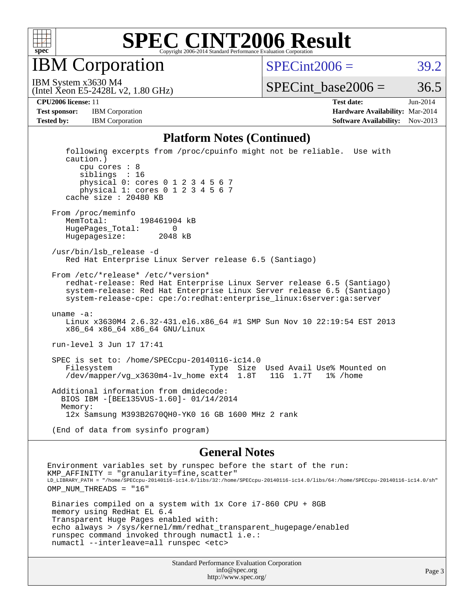

IBM Corporation

 $SPECint2006 = 39.2$  $SPECint2006 = 39.2$ 

(Intel Xeon E5-2428L v2, 1.80 GHz) IBM System x3630 M4

SPECint base2006 =  $36.5$ 

**[CPU2006 license:](http://www.spec.org/auto/cpu2006/Docs/result-fields.html#CPU2006license)** 11 **[Test date:](http://www.spec.org/auto/cpu2006/Docs/result-fields.html#Testdate)** Jun-2014 **[Test sponsor:](http://www.spec.org/auto/cpu2006/Docs/result-fields.html#Testsponsor)** IBM Corporation **[Hardware Availability:](http://www.spec.org/auto/cpu2006/Docs/result-fields.html#HardwareAvailability)** Mar-2014 **[Tested by:](http://www.spec.org/auto/cpu2006/Docs/result-fields.html#Testedby)** IBM Corporation **IBM** Corporation **[Software Availability:](http://www.spec.org/auto/cpu2006/Docs/result-fields.html#SoftwareAvailability)** Nov-2013

#### **[Platform Notes \(Continued\)](http://www.spec.org/auto/cpu2006/Docs/result-fields.html#PlatformNotes)**

 following excerpts from /proc/cpuinfo might not be reliable. Use with caution.) cpu cores : 8 siblings : 16 physical 0: cores 0 1 2 3 4 5 6 7 physical 1: cores 0 1 2 3 4 5 6 7 cache size : 20480 KB From /proc/meminfo MemTotal: 198461904 kB HugePages\_Total: 0 Hugepagesize: 2048 kB /usr/bin/lsb\_release -d Red Hat Enterprise Linux Server release 6.5 (Santiago) From /etc/\*release\* /etc/\*version\* redhat-release: Red Hat Enterprise Linux Server release 6.5 (Santiago) system-release: Red Hat Enterprise Linux Server release 6.5 (Santiago) system-release-cpe: cpe:/o:redhat:enterprise\_linux:6server:ga:server uname -a: Linux x3630M4 2.6.32-431.el6.x86\_64 #1 SMP Sun Nov 10 22:19:54 EST 2013 x86\_64 x86\_64 x86\_64 GNU/Linux run-level 3 Jun 17 17:41 SPEC is set to: /home/SPECcpu-20140116-ic14.0 Type Size Used Avail Use% Mounted on /dev/mapper/vg\_x3630m4-lv\_home ext4 1.8T 11G 1.7T 1% /home Additional information from dmidecode: BIOS IBM -[BEE135VUS-1.60]- 01/14/2014 Memory: 12x Samsung M393B2G70QH0-YK0 16 GB 1600 MHz 2 rank (End of data from sysinfo program)

#### **[General Notes](http://www.spec.org/auto/cpu2006/Docs/result-fields.html#GeneralNotes)**

Environment variables set by runspec before the start of the run: KMP\_AFFINITY = "granularity=fine,scatter" LD\_LIBRARY\_PATH = "/home/SPECcpu-20140116-ic14.0/libs/32:/home/SPECcpu-20140116-ic14.0/libs/64:/home/SPECcpu-20140116-ic14.0/sh" OMP NUM THREADS = "16" Binaries compiled on a system with 1x Core i7-860 CPU + 8GB memory using RedHat EL 6.4 Transparent Huge Pages enabled with: echo always > /sys/kernel/mm/redhat\_transparent\_hugepage/enabled runspec command invoked through numactl i.e.: numactl --interleave=all runspec <etc>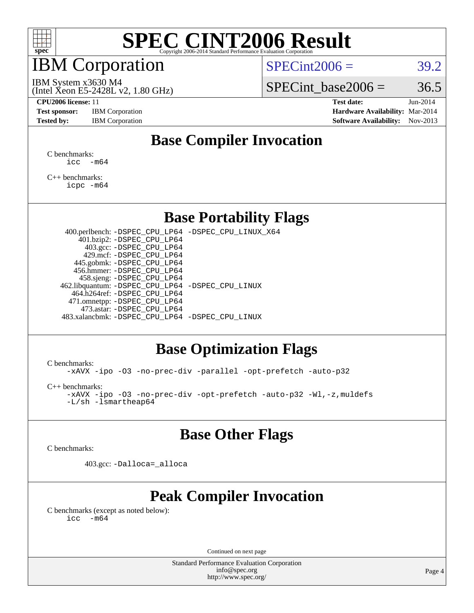

### IBM Corporation

 $SPECint2006 = 39.2$  $SPECint2006 = 39.2$ 

(Intel Xeon E5-2428L v2, 1.80 GHz) IBM System x3630 M4

SPECint base2006 =  $36.5$ 

**[Test sponsor:](http://www.spec.org/auto/cpu2006/Docs/result-fields.html#Testsponsor)** IBM Corporation **[Hardware Availability:](http://www.spec.org/auto/cpu2006/Docs/result-fields.html#HardwareAvailability)** Mar-2014

**[CPU2006 license:](http://www.spec.org/auto/cpu2006/Docs/result-fields.html#CPU2006license)** 11 **[Test date:](http://www.spec.org/auto/cpu2006/Docs/result-fields.html#Testdate)** Jun-2014 **[Tested by:](http://www.spec.org/auto/cpu2006/Docs/result-fields.html#Testedby)** IBM Corporation **[Software Availability:](http://www.spec.org/auto/cpu2006/Docs/result-fields.html#SoftwareAvailability)** Nov-2013

### **[Base Compiler Invocation](http://www.spec.org/auto/cpu2006/Docs/result-fields.html#BaseCompilerInvocation)**

[C benchmarks](http://www.spec.org/auto/cpu2006/Docs/result-fields.html#Cbenchmarks):  $\text{icc}$   $-\text{m64}$ 

[C++ benchmarks:](http://www.spec.org/auto/cpu2006/Docs/result-fields.html#CXXbenchmarks) [icpc -m64](http://www.spec.org/cpu2006/results/res2014q3/cpu2006-20140625-30012.flags.html#user_CXXbase_intel_icpc_64bit_fc66a5337ce925472a5c54ad6a0de310)

#### **[Base Portability Flags](http://www.spec.org/auto/cpu2006/Docs/result-fields.html#BasePortabilityFlags)**

 400.perlbench: [-DSPEC\\_CPU\\_LP64](http://www.spec.org/cpu2006/results/res2014q3/cpu2006-20140625-30012.flags.html#b400.perlbench_basePORTABILITY_DSPEC_CPU_LP64) [-DSPEC\\_CPU\\_LINUX\\_X64](http://www.spec.org/cpu2006/results/res2014q3/cpu2006-20140625-30012.flags.html#b400.perlbench_baseCPORTABILITY_DSPEC_CPU_LINUX_X64) 401.bzip2: [-DSPEC\\_CPU\\_LP64](http://www.spec.org/cpu2006/results/res2014q3/cpu2006-20140625-30012.flags.html#suite_basePORTABILITY401_bzip2_DSPEC_CPU_LP64) 403.gcc: [-DSPEC\\_CPU\\_LP64](http://www.spec.org/cpu2006/results/res2014q3/cpu2006-20140625-30012.flags.html#suite_basePORTABILITY403_gcc_DSPEC_CPU_LP64) 429.mcf: [-DSPEC\\_CPU\\_LP64](http://www.spec.org/cpu2006/results/res2014q3/cpu2006-20140625-30012.flags.html#suite_basePORTABILITY429_mcf_DSPEC_CPU_LP64) 445.gobmk: [-DSPEC\\_CPU\\_LP64](http://www.spec.org/cpu2006/results/res2014q3/cpu2006-20140625-30012.flags.html#suite_basePORTABILITY445_gobmk_DSPEC_CPU_LP64) 456.hmmer: [-DSPEC\\_CPU\\_LP64](http://www.spec.org/cpu2006/results/res2014q3/cpu2006-20140625-30012.flags.html#suite_basePORTABILITY456_hmmer_DSPEC_CPU_LP64) 458.sjeng: [-DSPEC\\_CPU\\_LP64](http://www.spec.org/cpu2006/results/res2014q3/cpu2006-20140625-30012.flags.html#suite_basePORTABILITY458_sjeng_DSPEC_CPU_LP64) 462.libquantum: [-DSPEC\\_CPU\\_LP64](http://www.spec.org/cpu2006/results/res2014q3/cpu2006-20140625-30012.flags.html#suite_basePORTABILITY462_libquantum_DSPEC_CPU_LP64) [-DSPEC\\_CPU\\_LINUX](http://www.spec.org/cpu2006/results/res2014q3/cpu2006-20140625-30012.flags.html#b462.libquantum_baseCPORTABILITY_DSPEC_CPU_LINUX) 464.h264ref: [-DSPEC\\_CPU\\_LP64](http://www.spec.org/cpu2006/results/res2014q3/cpu2006-20140625-30012.flags.html#suite_basePORTABILITY464_h264ref_DSPEC_CPU_LP64) 471.omnetpp: [-DSPEC\\_CPU\\_LP64](http://www.spec.org/cpu2006/results/res2014q3/cpu2006-20140625-30012.flags.html#suite_basePORTABILITY471_omnetpp_DSPEC_CPU_LP64) 473.astar: [-DSPEC\\_CPU\\_LP64](http://www.spec.org/cpu2006/results/res2014q3/cpu2006-20140625-30012.flags.html#suite_basePORTABILITY473_astar_DSPEC_CPU_LP64) 483.xalancbmk: [-DSPEC\\_CPU\\_LP64](http://www.spec.org/cpu2006/results/res2014q3/cpu2006-20140625-30012.flags.html#suite_basePORTABILITY483_xalancbmk_DSPEC_CPU_LP64) [-DSPEC\\_CPU\\_LINUX](http://www.spec.org/cpu2006/results/res2014q3/cpu2006-20140625-30012.flags.html#b483.xalancbmk_baseCXXPORTABILITY_DSPEC_CPU_LINUX)

#### **[Base Optimization Flags](http://www.spec.org/auto/cpu2006/Docs/result-fields.html#BaseOptimizationFlags)**

[C benchmarks](http://www.spec.org/auto/cpu2006/Docs/result-fields.html#Cbenchmarks):

[-xAVX](http://www.spec.org/cpu2006/results/res2014q3/cpu2006-20140625-30012.flags.html#user_CCbase_f-xAVX) [-ipo](http://www.spec.org/cpu2006/results/res2014q3/cpu2006-20140625-30012.flags.html#user_CCbase_f-ipo) [-O3](http://www.spec.org/cpu2006/results/res2014q3/cpu2006-20140625-30012.flags.html#user_CCbase_f-O3) [-no-prec-div](http://www.spec.org/cpu2006/results/res2014q3/cpu2006-20140625-30012.flags.html#user_CCbase_f-no-prec-div) [-parallel](http://www.spec.org/cpu2006/results/res2014q3/cpu2006-20140625-30012.flags.html#user_CCbase_f-parallel) [-opt-prefetch](http://www.spec.org/cpu2006/results/res2014q3/cpu2006-20140625-30012.flags.html#user_CCbase_f-opt-prefetch) [-auto-p32](http://www.spec.org/cpu2006/results/res2014q3/cpu2006-20140625-30012.flags.html#user_CCbase_f-auto-p32)

[C++ benchmarks:](http://www.spec.org/auto/cpu2006/Docs/result-fields.html#CXXbenchmarks)

[-xAVX](http://www.spec.org/cpu2006/results/res2014q3/cpu2006-20140625-30012.flags.html#user_CXXbase_f-xAVX) [-ipo](http://www.spec.org/cpu2006/results/res2014q3/cpu2006-20140625-30012.flags.html#user_CXXbase_f-ipo) [-O3](http://www.spec.org/cpu2006/results/res2014q3/cpu2006-20140625-30012.flags.html#user_CXXbase_f-O3) [-no-prec-div](http://www.spec.org/cpu2006/results/res2014q3/cpu2006-20140625-30012.flags.html#user_CXXbase_f-no-prec-div) [-opt-prefetch](http://www.spec.org/cpu2006/results/res2014q3/cpu2006-20140625-30012.flags.html#user_CXXbase_f-opt-prefetch) [-auto-p32](http://www.spec.org/cpu2006/results/res2014q3/cpu2006-20140625-30012.flags.html#user_CXXbase_f-auto-p32) [-Wl,-z,muldefs](http://www.spec.org/cpu2006/results/res2014q3/cpu2006-20140625-30012.flags.html#user_CXXbase_link_force_multiple1_74079c344b956b9658436fd1b6dd3a8a) [-L/sh -lsmartheap64](http://www.spec.org/cpu2006/results/res2014q3/cpu2006-20140625-30012.flags.html#user_CXXbase_SmartHeap64_ed4ef857ce90951921efb0d91eb88472)

#### **[Base Other Flags](http://www.spec.org/auto/cpu2006/Docs/result-fields.html#BaseOtherFlags)**

[C benchmarks](http://www.spec.org/auto/cpu2006/Docs/result-fields.html#Cbenchmarks):

403.gcc: [-Dalloca=\\_alloca](http://www.spec.org/cpu2006/results/res2014q3/cpu2006-20140625-30012.flags.html#b403.gcc_baseEXTRA_CFLAGS_Dalloca_be3056838c12de2578596ca5467af7f3)

### **[Peak Compiler Invocation](http://www.spec.org/auto/cpu2006/Docs/result-fields.html#PeakCompilerInvocation)**

[C benchmarks \(except as noted below\)](http://www.spec.org/auto/cpu2006/Docs/result-fields.html#Cbenchmarksexceptasnotedbelow):  $\text{icc}$  -m64

Continued on next page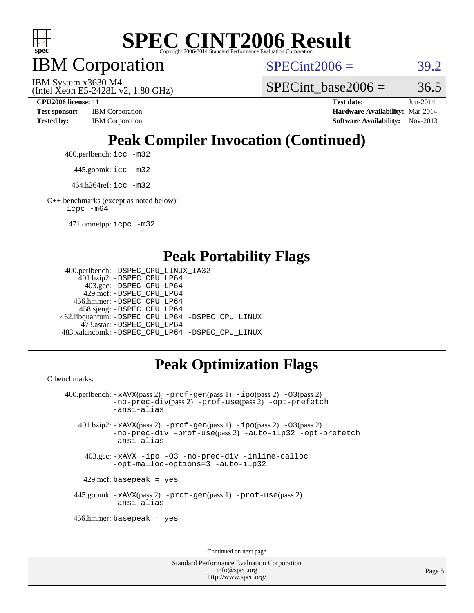

IBM Corporation

 $SPECint2006 = 39.2$  $SPECint2006 = 39.2$ 

(Intel Xeon E5-2428L v2, 1.80 GHz) IBM System x3630 M4

SPECint base2006 =  $36.5$ 

**[CPU2006 license:](http://www.spec.org/auto/cpu2006/Docs/result-fields.html#CPU2006license)** 11 **[Test date:](http://www.spec.org/auto/cpu2006/Docs/result-fields.html#Testdate)** Jun-2014 **[Test sponsor:](http://www.spec.org/auto/cpu2006/Docs/result-fields.html#Testsponsor)** IBM Corporation **[Hardware Availability:](http://www.spec.org/auto/cpu2006/Docs/result-fields.html#HardwareAvailability)** Mar-2014 **[Tested by:](http://www.spec.org/auto/cpu2006/Docs/result-fields.html#Testedby)** IBM Corporation **[Software Availability:](http://www.spec.org/auto/cpu2006/Docs/result-fields.html#SoftwareAvailability)** Nov-2013

# **[Peak Compiler Invocation \(Continued\)](http://www.spec.org/auto/cpu2006/Docs/result-fields.html#PeakCompilerInvocation)**

400.perlbench: [icc -m32](http://www.spec.org/cpu2006/results/res2014q3/cpu2006-20140625-30012.flags.html#user_peakCCLD400_perlbench_intel_icc_a6a621f8d50482236b970c6ac5f55f93)

445.gobmk: [icc -m32](http://www.spec.org/cpu2006/results/res2014q3/cpu2006-20140625-30012.flags.html#user_peakCCLD445_gobmk_intel_icc_a6a621f8d50482236b970c6ac5f55f93)

464.h264ref: [icc -m32](http://www.spec.org/cpu2006/results/res2014q3/cpu2006-20140625-30012.flags.html#user_peakCCLD464_h264ref_intel_icc_a6a621f8d50482236b970c6ac5f55f93)

[C++ benchmarks \(except as noted below\):](http://www.spec.org/auto/cpu2006/Docs/result-fields.html#CXXbenchmarksexceptasnotedbelow) [icpc -m64](http://www.spec.org/cpu2006/results/res2014q3/cpu2006-20140625-30012.flags.html#user_CXXpeak_intel_icpc_64bit_fc66a5337ce925472a5c54ad6a0de310)

471.omnetpp: [icpc -m32](http://www.spec.org/cpu2006/results/res2014q3/cpu2006-20140625-30012.flags.html#user_peakCXXLD471_omnetpp_intel_icpc_4e5a5ef1a53fd332b3c49e69c3330699)

#### **[Peak Portability Flags](http://www.spec.org/auto/cpu2006/Docs/result-fields.html#PeakPortabilityFlags)**

```
 400.perlbench: -DSPEC_CPU_LINUX_IA32
    401.bzip2: -DSPEC_CPU_LP64
      403.gcc: -DSPEC_CPU_LP64
     429.mcf: -DSPEC_CPU_LP64
   456.hmmer: -DSPEC_CPU_LP64
    458.sjeng: -DSPEC_CPU_LP64
462.libquantum: -DSPEC_CPU_LP64 -DSPEC_CPU_LINUX
     473.astar: -DSPEC_CPU_LP64
483.xalancbmk: -DSPEC_CPU_LP64 -DSPEC_CPU_LINUX
```
### **[Peak Optimization Flags](http://www.spec.org/auto/cpu2006/Docs/result-fields.html#PeakOptimizationFlags)**

[C benchmarks](http://www.spec.org/auto/cpu2006/Docs/result-fields.html#Cbenchmarks):

```
 400.perlbench: -xAVX(pass 2) -prof-gen(pass 1) -ipo(pass 2) -O3(pass 2)
           -no-prec-div(pass 2) -prof-use(pass 2) -opt-prefetch
           -ansi-alias
   401.bzip2: -xAVX(pass 2) -prof-gen(pass 1) -ipo(pass 2) -O3(pass 2)
           -no-prec-div -prof-use(pass 2) -auto-ilp32 -opt-prefetch
           -ansi-alias
    403.gcc: -xAVX -ipo -O3 -no-prec-div -inline-calloc
           -opt-malloc-options=3 -auto-ilp32
   429.mcf: basepeak = yes
  445.gobmk: -xAVX(pass 2) -prof-gen(pass 1) -prof-use(pass 2)
           -ansi-alias
  456.hmmer: basepeak = yes
```
Continued on next page